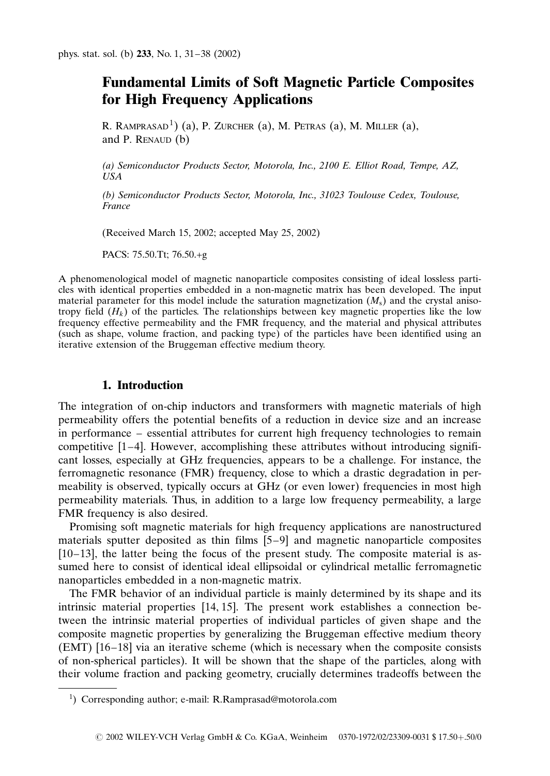# Fundamental Limits of Soft Magnetic Particle Composites for High Frequency Applications

R. RAMPRASAD<sup>1</sup>) (a), P. ZURCHER (a), M. PETRAS (a), M. MILLER (a), and P. RENAUD  $(b)$ 

(a) Semiconductor Products Sector, Motorola, Inc., 2100 E. Elliot Road, Tempe, AZ, USA

(b) Semiconductor Products Sector, Motorola, Inc., 31023 Toulouse Cedex, Toulouse, France

(Received March 15, 2002; accepted May 25, 2002)

PACS: 75.50.Tt; 76.50.+g

A phenomenological model of magnetic nanoparticle composites consisting of ideal lossless particles with identical properties embedded in a non-magnetic matrix has been developed. The input material parameter for this model include the saturation magnetization  $(M<sub>s</sub>)$  and the crystal anisotropy field  $(H_k)$  of the particles. The relationships between key magnetic properties like the low frequency effective permeability and the FMR frequency, and the material and physical attributes (such as shape, volume fraction, and packing type) of the particles have been identified using an iterative extension of the Bruggeman effective medium theory.

# 1. Introduction

The integration of on-chip inductors and transformers with magnetic materials of high permeability offers the potential benefits of a reduction in device size and an increase in performance – essential attributes for current high frequency technologies to remain competitive  $[1–4]$ . However, accomplishing these attributes without introducing significant losses, especially at GHz frequencies, appears to be a challenge. For instance, the ferromagnetic resonance (FMR) frequency, close to which a drastic degradation in permeability is observed, typically occurs at GHz (or even lower) frequencies in most high permeability materials. Thus, in addition to a large low frequency permeability, a large FMR frequency is also desired.

Promising soft magnetic materials for high frequency applications are nanostructured materials sputter deposited as thin films [5–9] and magnetic nanoparticle composites [10–13], the latter being the focus of the present study. The composite material is assumed here to consist of identical ideal ellipsoidal or cylindrical metallic ferromagnetic nanoparticles embedded in a non-magnetic matrix.

The FMR behavior of an individual particle is mainly determined by its shape and its intrinsic material properties [14, 15]. The present work establishes a connection between the intrinsic material properties of individual particles of given shape and the composite magnetic properties by generalizing the Bruggeman effective medium theory (EMT) [16–18] via an iterative scheme (which is necessary when the composite consists of non-spherical particles). It will be shown that the shape of the particles, along with their volume fraction and packing geometry, crucially determines tradeoffs between the

<sup>1</sup> ) Corresponding author; e-mail: R.Ramprasad@motorola.com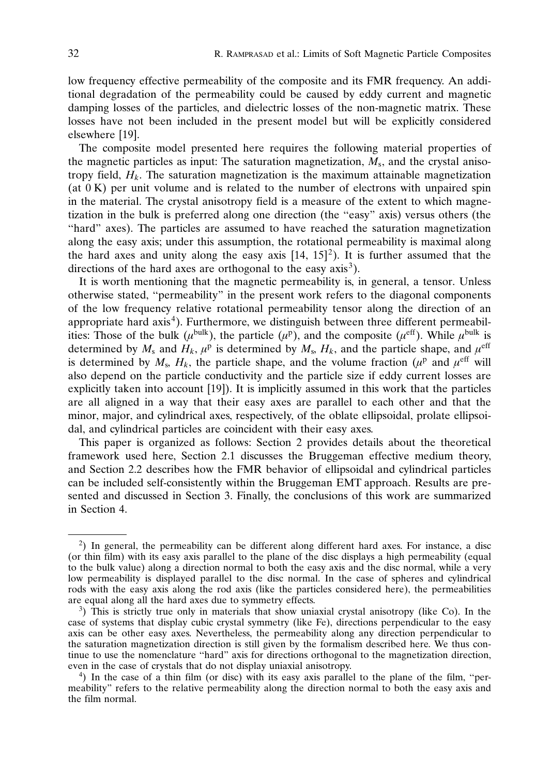low frequency effective permeability of the composite and its FMR frequency. An additional degradation of the permeability could be caused by eddy current and magnetic damping losses of the particles, and dielectric losses of the non-magnetic matrix. These losses have not been included in the present model but will be explicitly considered elsewhere [19].

The composite model presented here requires the following material properties of the magnetic particles as input: The saturation magnetization,  $M_s$ , and the crystal anisotropy field,  $H_k$ . The saturation magnetization is the maximum attainable magnetization  $(at \, 0 \, K)$  per unit volume and is related to the number of electrons with unpaired spin in the material. The crystal anisotropy field is a measure of the extent to which magnetization in the bulk is preferred along one direction (the ''easy" axis) versus others (the ''hard" axes). The particles are assumed to have reached the saturation magnetization along the easy axis; under this assumption, the rotational permeability is maximal along the hard axes and unity along the easy axis  $[14, 15]^2$ ). It is further assumed that the directions of the hard axes are orthogonal to the easy  $axis<sup>3</sup>$ .

It is worth mentioning that the magnetic permeability is, in general, a tensor. Unless otherwise stated, ''permeability" in the present work refers to the diagonal components of the low frequency relative rotational permeability tensor along the direction of an appropriate hard axis<sup>4</sup>). Furthermore, we distinguish between three different permeabilities: Those of the bulk ( $\mu^{\text{bulk}}$ ), the particle ( $\mu^{\text{p}}$ ), and the composite ( $\mu^{\text{eff}}$ ). While  $\mu^{\text{bulk}}$  is determined by  $M_s$  and  $H_k$ ,  $\mu^p$  is determined by  $M_s$ ,  $H_k$ , and the particle shape, and  $\mu^{\text{eff}}$ is determined by  $M_s$ ,  $H_k$ , the particle shape, and the volume fraction ( $\mu^p$  and  $\mu^{\text{eff}}$  will also depend on the particle conductivity and the particle size if eddy current losses are explicitly taken into account [19]). It is implicitly assumed in this work that the particles are all aligned in a way that their easy axes are parallel to each other and that the minor, major, and cylindrical axes, respectively, of the oblate ellipsoidal, prolate ellipsoidal, and cylindrical particles are coincident with their easy axes.

This paper is organized as follows: Section 2 provides details about the theoretical framework used here, Section 2.1 discusses the Bruggeman effective medium theory, and Section 2.2 describes how the FMR behavior of ellipsoidal and cylindrical particles can be included self-consistently within the Bruggeman EMT approach. Results are presented and discussed in Section 3. Finally, the conclusions of this work are summarized in Section 4.

<sup>2</sup> ) In general, the permeability can be different along different hard axes. For instance, a disc (or thin film) with its easy axis parallel to the plane of the disc displays a high permeability (equal to the bulk value) along a direction normal to both the easy axis and the disc normal, while a very low permeability is displayed parallel to the disc normal. In the case of spheres and cylindrical rods with the easy axis along the rod axis (like the particles considered here), the permeabilities are equal along all the hard axes due to symmetry effects.

 $3)$  This is strictly true only in materials that show uniaxial crystal anisotropy (like Co). In the case of systems that display cubic crystal symmetry (like Fe), directions perpendicular to the easy axis can be other easy axes. Nevertheless, the permeability along any direction perpendicular to the saturation magnetization direction is still given by the formalism described here. We thus continue to use the nomenclature ''hard" axis for directions orthogonal to the magnetization direction, even in the case of crystals that do not display uniaxial anisotropy. <sup>4</sup>

<sup>)</sup> In the case of a thin film (or disc) with its easy axis parallel to the plane of the film, ''permeability" refers to the relative permeability along the direction normal to both the easy axis and the film normal.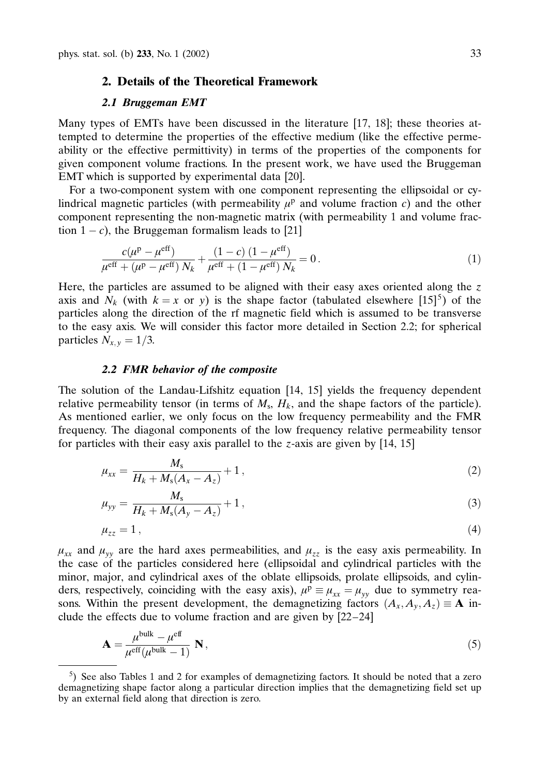# 2. Details of the Theoretical Framework

## 2.1 Bruggeman EMT

Many types of EMTs have been discussed in the literature [17, 18]; these theories attempted to determine the properties of the effective medium (like the effective permeability or the effective permittivity) in terms of the properties of the components for given component volume fractions. In the present work, we have used the Bruggeman EMT which is supported by experimental data [20].

For a two-component system with one component representing the ellipsoidal or cylindrical magnetic particles (with permeability  $\mu^p$  and volume fraction c) and the other component representing the non-magnetic matrix (with permeability 1 and volume fraction  $1 - c$ ), the Bruggeman formalism leads to [21]

$$
\frac{c(\mu^{\rm p} - \mu^{\rm eff})}{\mu^{\rm eff} + (\mu^{\rm p} - \mu^{\rm eff}) N_k} + \frac{(1 - c) (1 - \mu^{\rm eff})}{\mu^{\rm eff} + (1 - \mu^{\rm eff}) N_k} = 0.
$$
\n(1)

Here, the particles are assumed to be aligned with their easy axes oriented along the  $z$ axis and  $N_k$  (with  $k = x$  or y) is the shape factor (tabulated elsewhere [15]<sup>5</sup>) of the particles along the direction of the rf magnetic field which is assumed to be transverse to the easy axis. We will consider this factor more detailed in Section 2.2; for spherical particles  $N_{x,y} = 1/3$ .

#### 2.2 FMR behavior of the composite

The solution of the Landau-Lifshitz equation [14, 15] yields the frequency dependent relative permeability tensor (in terms of  $M_s$ ,  $H_k$ , and the shape factors of the particle). As mentioned earlier, we only focus on the low frequency permeability and the FMR frequency. The diagonal components of the low frequency relative permeability tensor for particles with their easy axis parallel to the z-axis are given by [14, 15]

$$
\mu_{xx} = \frac{M_s}{H_k + M_s(A_x - A_z)} + 1, \tag{2}
$$

$$
\mu_{yy} = \frac{M_s}{H_k + M_s(A_y - A_z)} + 1, \tag{3}
$$

$$
\mu_{zz} = 1 \,, \tag{4}
$$

 $\mu_{xx}$  and  $\mu_{yy}$  are the hard axes permeabilities, and  $\mu_{zz}$  is the easy axis permeability. In the case of the particles considered here (ellipsoidal and cylindrical particles with the minor, major, and cylindrical axes of the oblate ellipsoids, prolate ellipsoids, and cylinders, respectively, coinciding with the easy axis),  $\mu^p \equiv \mu_{xx} = \mu_{yy}$  due to symmetry reasons. Within the present development, the demagnetizing factors  $(A_x, A_y, A_z) \equiv \mathbf{A}$  include the effects due to volume fraction and are given by [22–24]

$$
\mathbf{A} = \frac{\mu^{\text{bulk}} - \mu^{\text{eff}}}{\mu^{\text{eff}}(\mu^{\text{bulk}} - 1)} \mathbf{N},\tag{5}
$$

<sup>5</sup> ) See also Tables 1 and 2 for examples of demagnetizing factors. It should be noted that a zero demagnetizing shape factor along a particular direction implies that the demagnetizing field set up by an external field along that direction is zero.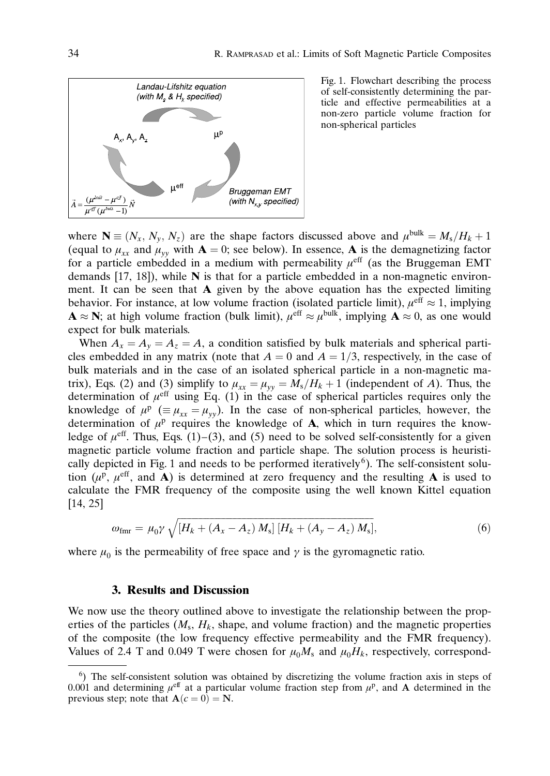

Fig. 1. Flowchart describing the process of self-consistently determining the particle and effective permeabilities at a non-zero particle volume fraction for non-spherical particles

where  $\mathbf{N} \equiv (N_x, N_y, N_z)$  are the shape factors discussed above and  $\mu^{\text{bulk}} = M_s/H_k + 1$ (equal to  $\mu_{xx}$  and  $\mu_{yy}$  with  $\mathbf{A} = 0$ ; see below). In essence,  $\mathbf{A}$  is the demagnetizing factor for a particle embedded in a medium with permeability  $\mu^{\text{eff}}$  (as the Bruggeman EMT demands [17, 18]), while N is that for a particle embedded in a non-magnetic environment. It can be seen that  $A$  given by the above equation has the expected limiting behavior. For instance, at low volume fraction (isolated particle limit),  $\mu^{\text{eff}} \approx 1$ , implying  $\mathbf{A} \approx \mathbf{N}$ ; at high volume fraction (bulk limit),  $\mu^{\text{eff}} \approx \mu^{\text{bulk}}$ , implying  $\mathbf{A} \approx 0$ , as one would expect for bulk materials.

When  $A_x = A_y = A_z = A$ , a condition satisfied by bulk materials and spherical particles embedded in any matrix (note that  $A = 0$  and  $A = 1/3$ , respectively, in the case of bulk materials and in the case of an isolated spherical particle in a non-magnetic matrix), Eqs. (2) and (3) simplify to  $\mu_{xx} = \mu_{yy} = M_s/H_k + 1$  (independent of A). Thus, the determination of  $\mu^{\text{eff}}$  using Eq. (1) in the case of spherical particles requires only the knowledge of  $\mu^p$  ( $\equiv \mu_{xx} = \mu_{yy}$ ). In the case of non-spherical particles, however, the determination of  $\mu^p$  requires the knowledge of **A**, which in turn requires the knowledge of  $\mu^{\text{eff}}$ . Thus, Eqs. (1)–(3), and (5) need to be solved self-consistently for a given magnetic particle volume fraction and particle shape. The solution process is heuristically depicted in Fig. 1 and needs to be performed iteratively<sup>6</sup>). The self-consistent solution ( $\mu^p$ ,  $\mu^{\text{eff}}$ , and **A**) is determined at zero frequency and the resulting **A** is used to calculate the FMR frequency of the composite using the well known Kittel equation [14, 25]

$$
\omega_{\rm fmr} = \mu_0 \gamma \sqrt{[H_k + (A_x - A_z) M_s] [H_k + (A_y - A_z) M_s]},
$$
\n(6)

where  $\mu_0$  is the permeability of free space and  $\gamma$  is the gyromagnetic ratio.

# 3. Results and Discussion

We now use the theory outlined above to investigate the relationship between the properties of the particles  $(M_s, H_k,$  shape, and volume fraction) and the magnetic properties of the composite (the low frequency effective permeability and the FMR frequency). Values of 2.4 T and 0.049 T were chosen for  $\mu_0M_s$  and  $\mu_0H_k$ , respectively, correspond-

<sup>&</sup>lt;sup>6</sup>) The self-consistent solution was obtained by discretizing the volume fraction axis in steps of 0.001 and determining  $\mu^{\text{eff}}$  at a particular volume fraction step from  $\mu^{\text{p}}$ , and A determined in the previous step; note that  $\mathbf{A}(c = 0) = \mathbf{N}$ .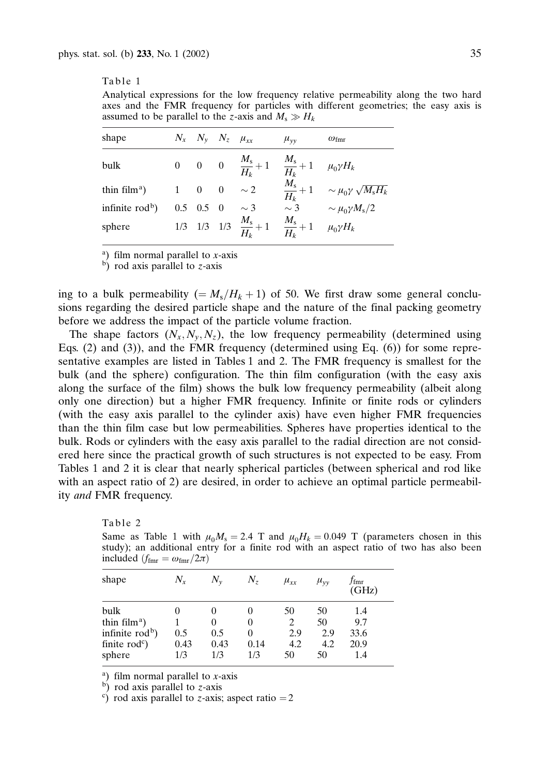#### Table 1

Analytical expressions for the low frequency relative permeability along the two hard axes and the FMR frequency for particles with different geometries; the easy axis is assumed to be parallel to the z-axis and  $M_s \gg H_k$ 

| shape                                  | $N_x$ $N_v$ $N_z$ $\mu_{rr}$ |          | $\mu_{vv}$                                                                 | $\omega_{\text{fmr}}$                                                    |
|----------------------------------------|------------------------------|----------|----------------------------------------------------------------------------|--------------------------------------------------------------------------|
| bulk                                   |                              |          | 0 0 0 $\frac{M_s}{H_k} + 1$ $\frac{M_s}{H_k} + 1$ $\mu_0 \gamma H_k$       |                                                                          |
| thin film <sup>a</sup> ) $1 \t 0 \t 0$ |                              | $\sim 2$ |                                                                            | $\frac{M_{\rm s}}{H_k} + 1 \quad \sim \mu_0 \gamma \sqrt{M_{\rm s} H_k}$ |
| infinite $rodb$ )                      | $0.5 \quad 0.5 \quad 0$      | $\sim$ 3 | $\sim$ 3                                                                   | $\sim \mu_0 \gamma M_s/2$                                                |
| sphere                                 |                              |          | 1/3 1/3 1/3 $\frac{M_s}{H_k} + 1$ $\frac{M_s}{H_k} + 1$ $\mu_0 \gamma H_k$ |                                                                          |

<sup>a</sup>) film normal parallel to  $x$ -axis

 $\overrightarrow{b}$ ) rod axis parallel to z-axis

ing to a bulk permeability (=  $M_s/H_k + 1$ ) of 50. We first draw some general conclusions regarding the desired particle shape and the nature of the final packing geometry before we address the impact of the particle volume fraction.

The shape factors  $(N_x, N_y, N_z)$ , the low frequency permeability (determined using Eqs.  $(2)$  and  $(3)$ ), and the FMR frequency (determined using Eq.  $(6)$ ) for some representative examples are listed in Tables 1 and 2. The FMR frequency is smallest for the bulk (and the sphere) configuration. The thin film configuration (with the easy axis along the surface of the film) shows the bulk low frequency permeability (albeit along only one direction) but a higher FMR frequency. Infinite or finite rods or cylinders (with the easy axis parallel to the cylinder axis) have even higher FMR frequencies than the thin film case but low permeabilities. Spheres have properties identical to the bulk. Rods or cylinders with the easy axis parallel to the radial direction are not considered here since the practical growth of such structures is not expected to be easy. From Tables 1 and 2 it is clear that nearly spherical particles (between spherical and rod like with an aspect ratio of 2) are desired, in order to achieve an optimal particle permeability and FMR frequency.

Table 2

Same as Table 1 with  $\mu_0 M_s = 2.4$  T and  $\mu_0 H_k = 0.049$  T (parameters chosen in this study); an additional entry for a finite rod with an aspect ratio of two has also been included  $(f_{\text{fmr}} = \omega_{\text{fmr}}/2\pi)$ 

| shape                                          | $N_{x}$                      | $N_{\rm v}$          | $N_z$            | $\mu_{xx}$       | $\mu_{vv}$       | $f_{\rm fmr}$<br>(GHz) |
|------------------------------------------------|------------------------------|----------------------|------------------|------------------|------------------|------------------------|
| bulk<br>thin film <sup>a</sup> )               |                              | $\theta$<br>$\theta$ |                  | 50               | 50<br>50         | 1.4<br>9.7             |
| infinite $rodb$ )<br>finite $rodc$ )<br>sphere | $0.5^{\circ}$<br>0.43<br>1/3 | 0.5<br>0.43<br>1/3   | 0<br>0.14<br>1/3 | 2.9<br>4.2<br>50 | 2.9<br>4.2<br>50 | 33.6<br>20.9<br>1.4    |

a) film normal parallel to  $x$ -axis

 $\overrightarrow{b}$ ) rod axis parallel to z-axis

 $\epsilon$ ) rod axis parallel to *z*-axis; aspect ratio = 2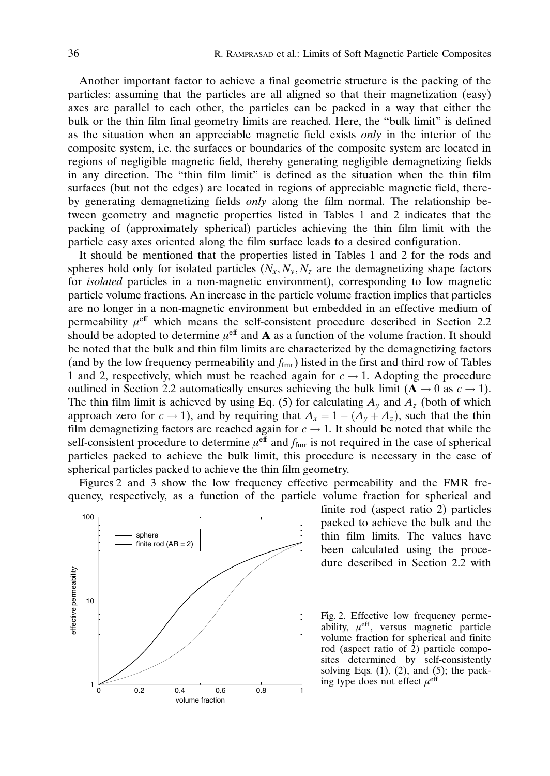Another important factor to achieve a final geometric structure is the packing of the particles: assuming that the particles are all aligned so that their magnetization (easy) axes are parallel to each other, the particles can be packed in a way that either the bulk or the thin film final geometry limits are reached. Here, the ''bulk limit" is defined as the situation when an appreciable magnetic field exists only in the interior of the composite system, i.e. the surfaces or boundaries of the composite system are located in regions of negligible magnetic field, thereby generating negligible demagnetizing fields in any direction. The ''thin film limit" is defined as the situation when the thin film surfaces (but not the edges) are located in regions of appreciable magnetic field, thereby generating demagnetizing fields only along the film normal. The relationship between geometry and magnetic properties listed in Tables 1 and 2 indicates that the packing of (approximately spherical) particles achieving the thin film limit with the particle easy axes oriented along the film surface leads to a desired configuration.

It should be mentioned that the properties listed in Tables 1 and 2 for the rods and spheres hold only for isolated particles  $(N_x, N_y, N_z)$  are the demagnetizing shape factors for isolated particles in a non-magnetic environment), corresponding to low magnetic particle volume fractions. An increase in the particle volume fraction implies that particles are no longer in a non-magnetic environment but embedded in an effective medium of permeability  $\mu^{\text{eff}}$  which means the self-consistent procedure described in Section 2.2 should be adopted to determine  $\mu^{\text{eff}}$  and **A** as a function of the volume fraction. It should be noted that the bulk and thin film limits are characterized by the demagnetizing factors (and by the low frequency permeability and  $f_{\text{fmr}}$ ) listed in the first and third row of Tables 1 and 2, respectively, which must be reached again for  $c \rightarrow 1$ . Adopting the procedure outlined in Section 2.2 automatically ensures achieving the bulk limit ( $\mathbf{A} \rightarrow 0$  as  $c \rightarrow 1$ ). The thin film limit is achieved by using Eq. (5) for calculating  $A_y$  and  $A_z$  (both of which approach zero for  $c \to 1$ ), and by requiring that  $A_x = 1 - (A_y + A_z)$ , such that the thin film demagnetizing factors are reached again for  $c \rightarrow 1$ . It should be noted that while the self-consistent procedure to determine  $\mu^{\text{eff}}$  and  $f_{\text{fmr}}$  is not required in the case of spherical particles packed to achieve the bulk limit, this procedure is necessary in the case of spherical particles packed to achieve the thin film geometry.

Figures 2 and 3 show the low frequency effective permeability and the FMR frequency, respectively, as a function of the particle volume fraction for spherical and



finite rod (aspect ratio 2) particles packed to achieve the bulk and the thin film limits. The values have been calculated using the procedure described in Section 2.2 with

Fig. 2. Effective low frequency permeability,  $\mu^{\text{eff}}$ , versus magnetic particle volume fraction for spherical and finite rod (aspect ratio of 2) particle composites determined by self-consistently solving Eqs.  $(1)$ ,  $(2)$ , and  $(5)$ ; the packing type does not effect  $\mu^{\text{eff}}$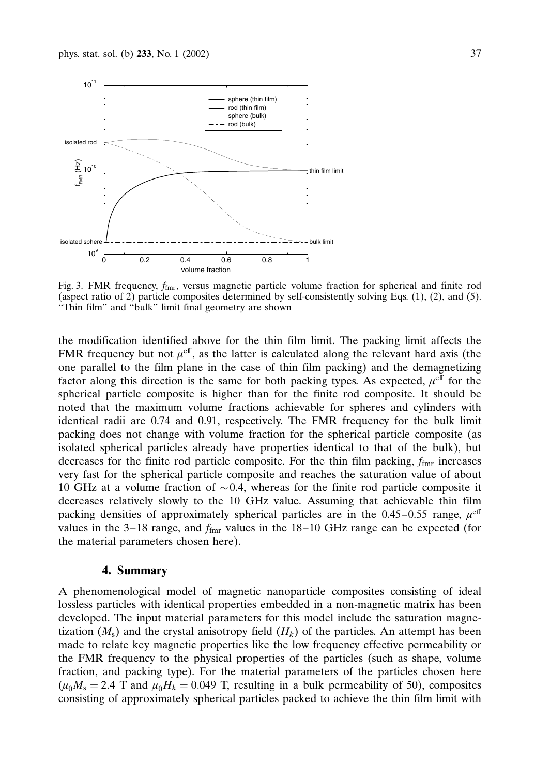

Fig. 3. FMR frequency,  $f_{\text{fmr}}$ , versus magnetic particle volume fraction for spherical and finite rod (aspect ratio of 2) particle composites determined by self-consistently solving Eqs. (1), (2), and (5). "Thin film" and "bulk" limit final geometry are shown

the modification identified above for the thin film limit. The packing limit affects the FMR frequency but not  $\mu^{\text{eff}}$ , as the latter is calculated along the relevant hard axis (the one parallel to the film plane in the case of thin film packing) and the demagnetizing factor along this direction is the same for both packing types. As expected,  $\mu^{\text{eff}}$  for the spherical particle composite is higher than for the finite rod composite. It should be noted that the maximum volume fractions achievable for spheres and cylinders with identical radii are 0.74 and 0.91, respectively. The FMR frequency for the bulk limit packing does not change with volume fraction for the spherical particle composite (as isolated spherical particles already have properties identical to that of the bulk), but decreases for the finite rod particle composite. For the thin film packing,  $f_{\text{fmr}}$  increases very fast for the spherical particle composite and reaches the saturation value of about 10 GHz at a volume fraction of  $\sim 0.4$ , whereas for the finite rod particle composite it decreases relatively slowly to the 10 GHz value. Assuming that achievable thin film packing densities of approximately spherical particles are in the 0.45–0.55 range,  $\mu^{\text{eff}}$ values in the 3–18 range, and  $f_{\text{fmr}}$  values in the 18–10 GHz range can be expected (for the material parameters chosen here).

#### 4. Summary

A phenomenological model of magnetic nanoparticle composites consisting of ideal lossless particles with identical properties embedded in a non-magnetic matrix has been developed. The input material parameters for this model include the saturation magnetization  $(M_s)$  and the crystal anisotropy field  $(H_k)$  of the particles. An attempt has been made to relate key magnetic properties like the low frequency effective permeability or the FMR frequency to the physical properties of the particles (such as shape, volume fraction, and packing type). For the material parameters of the particles chosen here  $(\mu_0 M_s = 2.4$  T and  $\mu_0 H_k = 0.049$  T, resulting in a bulk permeability of 50), composites consisting of approximately spherical particles packed to achieve the thin film limit with